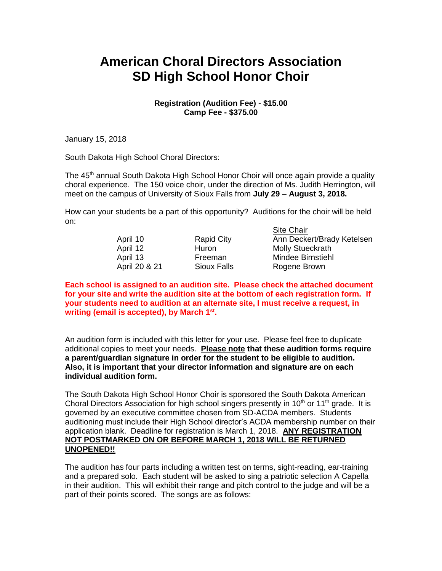## **American Choral Directors Association SD High School Honor Choir**

## **Registration (Audition Fee) - \$15.00 Camp Fee - \$375.00**

January 15, 2018

South Dakota High School Choral Directors:

The 45<sup>th</sup> annual South Dakota High School Honor Choir will once again provide a quality choral experience. The 150 voice choir, under the direction of Ms. Judith Herrington, will meet on the campus of University of Sioux Falls from **July 29 – August 3, 2018.**

How can your students be a part of this opportunity? Auditions for the choir will be held on: Site Chair

|               |                   | <b>SILE UTIQII</b>         |
|---------------|-------------------|----------------------------|
| April 10      | <b>Rapid City</b> | Ann Deckert/Brady Ketelsen |
| April 12      | Huron             | <b>Molly Stueckrath</b>    |
| April 13      | Freeman           | Mindee Birnstiehl          |
| April 20 & 21 | Sioux Falls       | Rogene Brown               |
|               |                   |                            |

**Each school is assigned to an audition site. Please check the attached document for your site and write the audition site at the bottom of each registration form. If your students need to audition at an alternate site, I must receive a request, in writing (email is accepted), by March 1st .** 

An audition form is included with this letter for your use. Please feel free to duplicate additional copies to meet your needs. **Please note that these audition forms require a parent/guardian signature in order for the student to be eligible to audition. Also, it is important that your director information and signature are on each individual audition form.**

The South Dakota High School Honor Choir is sponsored the South Dakota American Choral Directors Association for high school singers presently in 10<sup>th</sup> or 11<sup>th</sup> grade. It is governed by an executive committee chosen from SD-ACDA members. Students auditioning must include their High School director's ACDA membership number on their application blank. Deadline for registration is March 1, 2018. **ANY REGISTRATION NOT POSTMARKED ON OR BEFORE MARCH 1, 2018 WILL BE RETURNED UNOPENED!!**

The audition has four parts including a written test on terms, sight-reading, ear-training and a prepared solo. Each student will be asked to sing a patriotic selection A Capella in their audition. This will exhibit their range and pitch control to the judge and will be a part of their points scored. The songs are as follows: